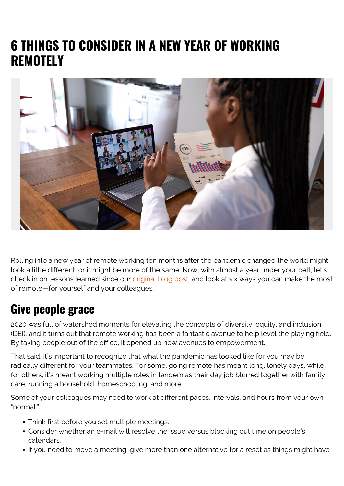# **6 THINGS TO CONSIDER IN A NEW YEAR OF WORKING REMOTELY**



Rolling into a new year of remote working ten months after the pandemic changed the world might look a little different, or it might be more of the same. Now, with almost a year under your belt, let's check in on lessons learned since our [original blog post](https://blogs.bmc.com/blogs/remote-working/), and look at six ways you can make the most of remote—for yourself and your colleagues.

#### **Give people grace**

2020 was full of watershed moments for elevating the concepts of diversity, equity, and inclusion (DEI), and it turns out that remote working has been a fantastic avenue to help level the playing field. By taking people out of the office, it opened up new avenues to empowerment.

That said, it's important to recognize that what the pandemic has looked like for you may be radically different for your teammates. For some, going remote has meant long, lonely days, while, for others, it's meant working multiple roles in tandem as their day job blurred together with family care, running a household, homeschooling, and more.

Some of your colleagues may need to work at different paces, intervals, and hours from your own "normal."

- Think first before you set multiple meetings.
- Consider whether an e-mail will resolve the issue versus blocking out time on people's calendars.
- If you need to move a meeting, give more than one alternative for a reset as things might have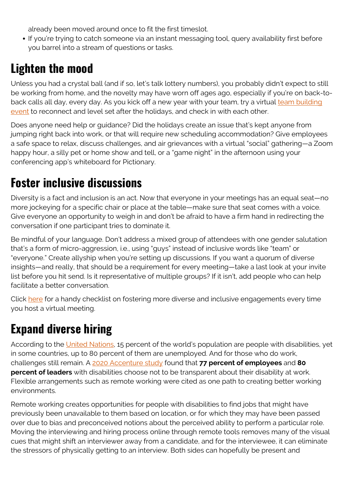already been moved around once to fit the first timeslot.

• If you're trying to catch someone via an instant messaging tool, query availability first before you barrel into a stream of questions or tasks.

#### **Lighten the mood**

Unless you had a crystal ball (and if so, let's talk lottery numbers), you probably didn't expect to still be working from home, and the novelty may have worn off ages ago, especially if you're on back-toback calls all day, every day. As you kick off a new year with your team, try a virtual [team building](https://medium.com/@futureofhiring/easy-virtual-remote-team-building-ideas-611c106e73f3) [event](https://medium.com/@futureofhiring/easy-virtual-remote-team-building-ideas-611c106e73f3) to reconnect and level set after the holidays, and check in with each other.

Does anyone need help or guidance? Did the holidays create an issue that's kept anyone from jumping right back into work, or that will require new scheduling accommodation? Give employees a safe space to relax, discuss challenges, and air grievances with a virtual "social" gathering—a Zoom happy hour, a silly pet or home show and tell, or a "game night" in the afternoon using your conferencing app's whiteboard for Pictionary.

### **Foster inclusive discussions**

Diversity is a fact and inclusion is an act. Now that everyone in your meetings has an equal seat—no more jockeying for a specific chair or place at the table—make sure that seat comes with a voice. Give everyone an opportunity to weigh in and don't be afraid to have a firm hand in redirecting the conversation if one participant tries to dominate it.

Be mindful of your language. Don't address a mixed group of attendees with one gender salutation that's a form of micro-aggression, i.e., using "guys" instead of inclusive words like "team" or "everyone." Create allyship when you're setting up discussions. If you want a quorum of diverse insights—and really, that should be a requirement for every meeting—take a last look at your invite list before you hit send. Is it representative of multiple groups? If it isn't, add people who can help facilitate a better conversation.

Click [here](https://blogs.bmc.com/wp-content/uploads/2021/02/Checklist-for-inclusive-meetings.pdf) for a handy checklist on fostering more diverse and inclusive engagements every time you host a virtual meeting.

## **Expand diverse hiring**

According to the [United Nations,](https://web.archive.org/web/20210111221945/https://www.un.org/development/desa/disabilities/resources/factsheet-on-persons-with-disabilities.html) 15 percent of the world's population are people with disabilities, yet in some countries, up to 80 percent of them are unemployed. And for those who do work, challenges still remain. A [2020 Accenture study](https://www.accenture.com/us-en/about/inclusion-diversity/persons-with-disabilities) found that **77 percent of employees** and **80 percent of leaders** with disabilities choose not to be transparent about their disability at work. Flexible arrangements such as remote working were cited as one path to creating better working environments.

Remote working creates opportunities for people with disabilities to find jobs that might have previously been unavailable to them based on location, or for which they may have been passed over due to bias and preconceived notions about the perceived ability to perform a particular role. Moving the interviewing and hiring process online through remote tools removes many of the visual cues that might shift an interviewer away from a candidate, and for the interviewee, it can eliminate the stressors of physically getting to an interview. Both sides can hopefully be present and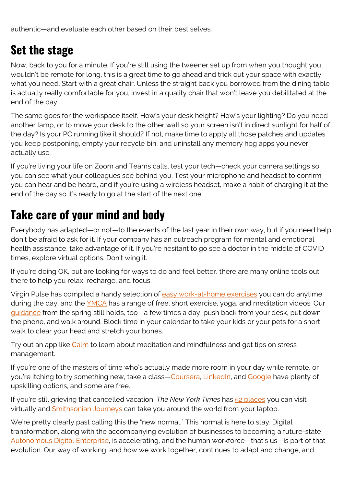authentic—and evaluate each other based on their best selves.

### **Set the stage**

Now, back to you for a minute. If you're still using the tweener set up from when you thought you wouldn't be remote for long, this is a great time to go ahead and trick out your space with exactly what you need. Start with a great chair. Unless the straight back you borrowed from the dining table is actually really comfortable for you, invest in a quality chair that won't leave you debilitated at the end of the day.

The same goes for the workspace itself. How's your desk height? How's your lighting? Do you need another lamp, or to move your desk to the other wall so your screen isn't in direct sunlight for half of the day? Is your PC running like it should? If not, make time to apply all those patches and updates you keep postponing, empty your recycle bin, and uninstall any memory hog apps you never actually use.

If you're living your life on Zoom and Teams calls, test your tech—check your camera settings so you can see what your colleagues see behind you. Test your microphone and headset to confirm you can hear and be heard, and if you're using a wireless headset, make a habit of charging it at the end of the day so it's ready to go at the start of the next one.

### **Take care of your mind and body**

Everybody has adapted—or not—to the events of the last year in their own way, but if you need help, don't be afraid to ask for it. If your company has an outreach program for mental and emotional health assistance, take advantage of it. If you're hesitant to go see a doctor in the middle of COVID times, explore virtual options. Don't wing it.

If you're doing OK, but are looking for ways to do and feel better, there are many online tools out there to help you relax, recharge, and focus.

Virgin Pulse has compiled a handy selection of [easy work-at-home exercises](https://community.virginpulse.com/work-from-home-exercises-to-keep-employees-active-and-healthy?utm_campaign=CAM-2020-03-Work-from-Home-Exercise-Videos&utm_content=14972730) you can do anytime during the day, and the **YMCA** has a range of free, short exercise, yoga, and meditation videos. Our [guidance](https://blogs.bmc.com/blogs/remote-working/) from the spring still holds, too—a few times a day, push back from your desk, put down the phone, and walk around. Block time in your calendar to take your kids or your pets for a short walk to clear your head and stretch your bones.

Try out an app like [Calm](https://www.linkedin.com/company/calm-com/) to learn about meditation and mindfulness and get tips on stress management.

If you're one of the masters of time who's actually made more room in your day while remote, or you're itching to try something new, take a class—[Coursera](https://www.coursera.org/), [LinkedIn](https://www.linkedin.com/learning/subscription/topics), and [Google](https://growonair.withgoogle.com/) have plenty of upskilling options, and some are free.

If you're still grieving that cancelled vacation, *The New York Times* has [52 places](https://www.nytimes.com/2020/04/14/travel/52-places-to-go-virtual-travel.html) you can visit virtually and [Smithsonian Journeys](https://www.smithsonianjourneys.org/journeysfromhome/) can take you around the world from your laptop.

We're pretty clearly past calling this the "new normal." This normal is here to stay. Digital transformation, along with the accompanying evolution of businesses to becoming a future-state [Autonomous Digital Enterprise](https://blogs.bmc.com/ade), is accelerating, and the human workforce—that's us—is part of that evolution. Our way of working, and how we work together, continues to adapt and change, and